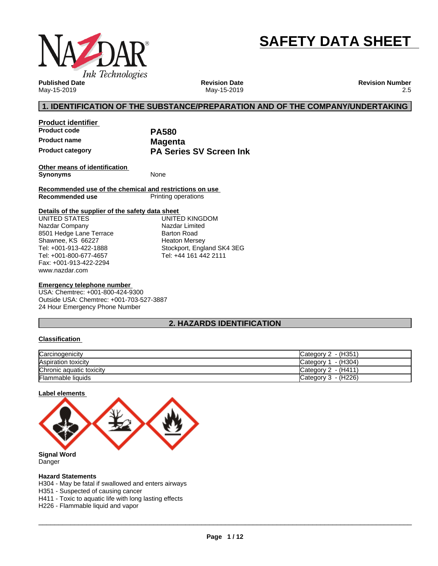

# **SAFETY DATA SHEET**

**Published Date** May-15-2019

**Revision Date** May-15-2019 **Revision Number** 2.5

# **1. IDENTIFICATION OF THE SUBSTANCE/PREPARATION AND OF THE COMPANY/UNDERTAKING**

**Product identifier Product code PA580 Product name Magenta**

**Product category PA Series SV Screen Ink**

**Other means of identification Synonyms** None

**Recommended use of the chemical and restrictions on use Printing operations** 

#### **Details of the supplier of the safety data sheet**

www.nazdar.com UNITED STATES Nazdar Company 8501 Hedge Lane Terrace Shawnee, KS 66227 Tel: +001-913-422-1888 Tel: +001-800-677-4657 Fax: +001-913-422-2294

UNITED KINGDOM Nazdar Limited Barton Road Heaton Mersey Stockport, England SK4 3EG Tel: +44 161 442 2111

#### **Emergency telephone number**

USA: Chemtrec: +001-800-424-9300 Outside USA: Chemtrec: +001-703-527-3887 24 Hour Emergency Phone Number

# **2. HAZARDS IDENTIFICATION**

#### **Classification**

| Carcinogenicity          | Category 2 - (H351)    |
|--------------------------|------------------------|
| Aspiration toxicity      | - (H304)<br>Category 1 |
| Chronic aquatic toxicity | Category $2 - (H411)$  |
| <b>Flammable liquids</b> | Category $3 - (H226)$  |

#### **Label elements**



Danger

#### **Hazard Statements**

H304 - May be fatal if swallowed and enters airways

H351 - Suspected of causing cancer

H411 - Toxic to aquatic life with long lasting effects

H226 - Flammable liquid and vapor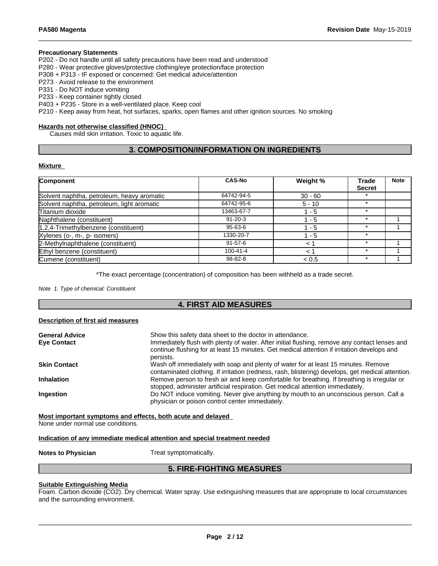#### **Precautionary Statements**

P202 - Do not handle until all safety precautions have been read and understood

P280 - Wear protective gloves/protective clothing/eye protection/face protection

P308 + P313 - IF exposed or concerned: Get medical advice/attention

P273 - Avoid release to the environment

P331 - Do NOT induce vomiting

P233 - Keep container tightly closed

P403 + P235 - Store in a well-ventilated place. Keep cool

P210 - Keep away from heat, hot surfaces, sparks, open flames and other ignition sources. No smoking

#### **Hazards not otherwise classified (HNOC)**

Causes mild skin irritation. Toxic to aquatic life.

# **3. COMPOSITION/INFORMATION ON INGREDIENTS**

#### **Mixture**

| Component                                  | <b>CAS-No</b>  | Weight %  | <b>Trade</b>  | <b>Note</b> |
|--------------------------------------------|----------------|-----------|---------------|-------------|
|                                            |                |           | <b>Secret</b> |             |
| Solvent naphtha, petroleum, heavy aromatic | 64742-94-5     | $30 - 60$ |               |             |
| Solvent naphtha, petroleum, light aromatic | 64742-95-6     | $5 - 10$  | $\star$       |             |
| Titanium dioxide                           | 13463-67-7     | 1 - 5     | $\star$       |             |
| Naphthalene (constituent)                  | $91 - 20 - 3$  | $1 - 5$   | $\star$       |             |
| 1,2,4-Trimethylbenzene (constituent)       | 95-63-6        | - 5       |               |             |
| Xylenes (o-, m-, p- isomers)               | 1330-20-7      | 1 - 5     |               |             |
| 2-Methylnaphthalene (constituent)          | $91 - 57 - 6$  | $\lt$     |               |             |
| Ethyl benzene (constituent)                | $100 - 41 - 4$ | 1 ج       |               |             |
| Cumene (constituent)                       | 98-82-8        | < 0.5     |               |             |

\*The exact percentage (concentration) of composition has been withheld as a trade secret.

*Note 1. Type of chemical: Constituent*

### **4. FIRST AID MEASURES**

#### **Description of first aid measures**

| Show this safety data sheet to the doctor in attendance.<br>Immediately flush with plenty of water. After initial flushing, remove any contact lenses and<br>continue flushing for at least 15 minutes. Get medical attention if irritation develops and |
|----------------------------------------------------------------------------------------------------------------------------------------------------------------------------------------------------------------------------------------------------------|
| persists.                                                                                                                                                                                                                                                |
| Wash off immediately with soap and plenty of water for at least 15 minutes. Remove<br>contaminated clothing. If irritation (redness, rash, blistering) develops, get medical attention.                                                                  |
| Remove person to fresh air and keep comfortable for breathing. If breathing is irregular or<br>stopped, administer artificial respiration. Get medical attention immediately.                                                                            |
| Do NOT induce vomiting. Never give anything by mouth to an unconscious person. Call a<br>physician or poison control center immediately.                                                                                                                 |
|                                                                                                                                                                                                                                                          |

**Most important symptoms and effects, both acute and delayed**

None under normal use conditions.

#### **Indication of any immediate medical attention and special treatment needed**

**Notes to Physician** Treat symptomatically.

# **5. FIRE-FIGHTING MEASURES**

#### **Suitable Extinguishing Media**

Foam. Carbon dioxide (CO2). Dry chemical. Water spray. Use extinguishing measures that are appropriate to local circumstances and the surrounding environment.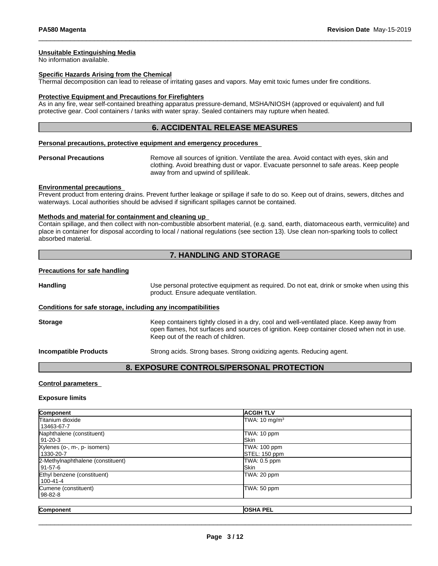#### **Unsuitable Extinguishing Media**

No information available.

#### **Specific Hazards Arising from the Chemical**

Thermal decomposition can lead to release of irritating gases and vapors. May emit toxic fumes under fire conditions.

#### **Protective Equipment and Precautions for Firefighters**

As in any fire, wear self-contained breathing apparatus pressure-demand, MSHA/NIOSH (approved or equivalent) and full protective gear. Cool containers / tanks with water spray. Sealed containers may rupture when heated.

#### **6. ACCIDENTAL RELEASE MEASURES**

#### **Personal precautions, protective equipment and emergency procedures**

**Personal Precautions** Remove all sources of ignition. Ventilate the area. Avoid contact with eyes, skin and clothing. Avoid breathing dust or vapor. Evacuate personnel to safe areas. Keep people away from and upwind of spill/leak.

#### **Environmental precautions**

Prevent product from entering drains. Prevent further leakage or spillage if safe to do so. Keep out of drains, sewers, ditches and waterways. Local authorities should be advised if significant spillages cannot be contained.

#### **Methods and material for containment and cleaning up**

Contain spillage, and then collectwith non-combustible absorbent material, (e.g. sand, earth, diatomaceous earth, vermiculite) and place in container for disposal according to local / national regulations (see section 13). Use clean non-sparking tools to collect absorbed material.

## **7. HANDLING AND STORAGE**

#### **Precautions for safe handling**

**Handling** Use personal protective equipment as required. Do not eat, drink or smoke when using this product. Ensure adequate ventilation. **Conditions for safe storage, including any incompatibilities**

**Storage** Keep containers tightly closed in a dry, cool and well-ventilated place. Keep away from open flames, hot surfaces and sources of ignition. Keep container closed when not in use. Keep out of the reach of children.

**Incompatible Products** Strong acids. Strong bases. Strong oxidizing agents. Reducing agent.

#### **8. EXPOSURE CONTROLS/PERSONAL PROTECTION**

#### **Control parameters**

#### **Exposure limits**

| Component                         | <b>ACGIH TLV</b>          |  |
|-----------------------------------|---------------------------|--|
| <b>Titanium dioxide</b>           | TWA: 10 mg/m <sup>3</sup> |  |
| 13463-67-7                        |                           |  |
| Naphthalene (constituent)         | TWA: 10 ppm               |  |
| 91-20-3                           | <b>Skin</b>               |  |
| Xylenes (o-, m-, p- isomers)      | TWA: 100 ppm              |  |
| 1330-20-7                         | STEL: 150 ppm             |  |
| 2-Methylnaphthalene (constituent) | TWA: 0.5 ppm              |  |
| 91-57-6                           | <b>ISkin</b>              |  |
| Ethyl benzene (constituent)       | TWA: 20 ppm               |  |
| l 100-41-4                        |                           |  |
| Cumene (constituent)              | TWA: 50 ppm               |  |
| 98-82-8                           |                           |  |
|                                   |                           |  |
| Component                         | <b>OSHA PEL</b>           |  |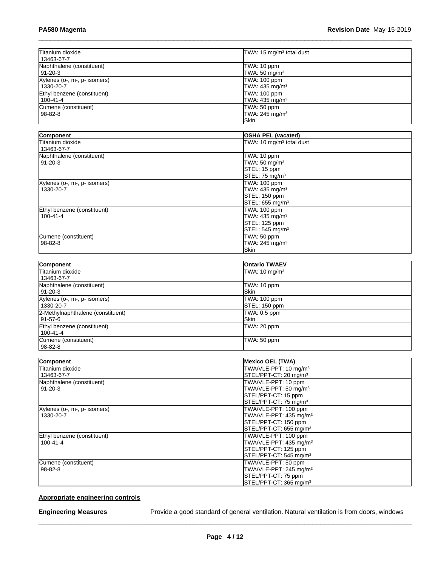| Titanium dioxide<br>13463-67-7              | TWA: 15 mg/m <sup>3</sup> total dust                      |  |
|---------------------------------------------|-----------------------------------------------------------|--|
| Naphthalene (constituent)<br>91-20-3        | TWA: 10 ppm<br>TWA: $50 \text{ mg/m}^3$                   |  |
| Xylenes (o-, m-, p- isomers)<br>l 1330-20-7 | TWA: 100 ppm<br>TWA: 435 mg/m <sup>3</sup>                |  |
| Ethyl benzene (constituent)<br>  100-41-4   | TWA: 100 ppm<br>TWA: 435 mg/m <sup>3</sup>                |  |
| Cumene (constituent)<br>  98-82-8           | TWA: 50 ppm<br>TWA: 245 mg/m <sup>3</sup><br><b>ISkin</b> |  |

| Component                    | <b>OSHA PEL (vacated)</b>            |
|------------------------------|--------------------------------------|
| Titanium dioxide             | TWA: 10 mg/m <sup>3</sup> total dust |
| 13463-67-7                   |                                      |
| Naphthalene (constituent)    | TWA: 10 ppm                          |
| $91 - 20 - 3$                | TWA: 50 mg/m <sup>3</sup>            |
|                              | STEL: 15 ppm                         |
|                              | STEL: 75 mg/m <sup>3</sup>           |
| Xylenes (o-, m-, p- isomers) | TWA: 100 ppm                         |
| 1330-20-7                    | TWA: 435 mg/m <sup>3</sup>           |
|                              | STEL: 150 ppm                        |
|                              | STEL: 655 mg/m <sup>3</sup>          |
| Ethyl benzene (constituent)  | TWA: 100 ppm                         |
| $100 - 41 - 4$               | TWA: $435 \text{ mg/m}^3$            |
|                              | STEL: 125 ppm                        |
|                              | STEL: 545 mg/m <sup>3</sup>          |
| Cumene (constituent)         | TWA: 50 ppm                          |
| $98 - 82 - 8$                | TWA: 245 mg/m <sup>3</sup>           |
|                              | <b>Skin</b>                          |

| Component                         | <b>Ontario TWAEV</b>     |
|-----------------------------------|--------------------------|
| Titanium dioxide                  | TWA: $10 \text{ mg/m}^3$ |
| 13463-67-7                        |                          |
| Naphthalene (constituent)         | TWA: 10 ppm              |
| 191-20-3                          | <b>ISkin</b>             |
| Xylenes (o-, m-, p- isomers)      | TWA: 100 ppm             |
| 1330-20-7                         | STEL: 150 ppm            |
| 2-Methylnaphthalene (constituent) | TWA: 0.5 ppm             |
| l 91-57-6                         | <b>ISkin</b>             |
| Ethyl benzene (constituent)       | TWA: 20 ppm              |
| 100-41-4                          |                          |
| Cumene (constituent)              | TWA: 50 ppm              |
| 98-82-8                           |                          |

| Component                    | <b>Mexico OEL (TWA)</b>            |
|------------------------------|------------------------------------|
| Titanium dioxide             | TWA/VLE-PPT: 10 mg/m <sup>3</sup>  |
| 13463-67-7                   | STEL/PPT-CT: 20 mg/m <sup>3</sup>  |
| Naphthalene (constituent)    | TWA/VLE-PPT: 10 ppm                |
| $91 - 20 - 3$                | TWA/VLE-PPT: 50 mg/m <sup>3</sup>  |
|                              | STEL/PPT-CT: 15 ppm                |
|                              | STEL/PPT-CT: 75 mg/m <sup>3</sup>  |
| Xylenes (o-, m-, p- isomers) | TWA/VLE-PPT: 100 ppm               |
| 1330-20-7                    | TWA/VLE-PPT: 435 mg/m <sup>3</sup> |
|                              | STEL/PPT-CT: 150 ppm               |
|                              | STEL/PPT-CT: 655 mg/m <sup>3</sup> |
| Ethyl benzene (constituent)  | TWA/VLE-PPT: 100 ppm               |
| $100 - 41 - 4$               | TWA/VLE-PPT: 435 mg/m <sup>3</sup> |
|                              | STEL/PPT-CT: 125 ppm               |
|                              | STEL/PPT-CT: 545 mg/m <sup>3</sup> |
| Cumene (constituent)         | TWA/VLE-PPT: 50 ppm                |
| $98 - 82 - 8$                | TWA/VLE-PPT: 245 mg/m <sup>3</sup> |
|                              | STEL/PPT-CT: 75 ppm                |
|                              | STEL/PPT-CT: 365 mg/m <sup>3</sup> |

# **Appropriate engineering controls**

**Engineering Measures** Provide a good standard of general ventilation. Natural ventilation is from doors, windows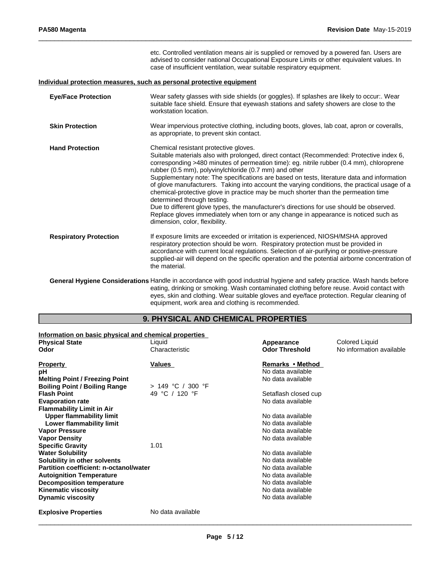|                               | etc. Controlled ventilation means air is supplied or removed by a powered fan. Users are<br>advised to consider national Occupational Exposure Limits or other equivalent values. In<br>case of insufficient ventilation, wear suitable respiratory equipment.                                                                                                                                                                                                                                                                                                                                                                                                                                                                                                                                                                |
|-------------------------------|-------------------------------------------------------------------------------------------------------------------------------------------------------------------------------------------------------------------------------------------------------------------------------------------------------------------------------------------------------------------------------------------------------------------------------------------------------------------------------------------------------------------------------------------------------------------------------------------------------------------------------------------------------------------------------------------------------------------------------------------------------------------------------------------------------------------------------|
|                               | Individual protection measures, such as personal protective equipment                                                                                                                                                                                                                                                                                                                                                                                                                                                                                                                                                                                                                                                                                                                                                         |
| <b>Eye/Face Protection</b>    | Wear safety glasses with side shields (or goggles). If splashes are likely to occur:. Wear<br>suitable face shield. Ensure that eyewash stations and safety showers are close to the<br>workstation location.                                                                                                                                                                                                                                                                                                                                                                                                                                                                                                                                                                                                                 |
| <b>Skin Protection</b>        | Wear impervious protective clothing, including boots, gloves, lab coat, apron or coveralls,<br>as appropriate, to prevent skin contact.                                                                                                                                                                                                                                                                                                                                                                                                                                                                                                                                                                                                                                                                                       |
| <b>Hand Protection</b>        | Chemical resistant protective gloves.<br>Suitable materials also with prolonged, direct contact (Recommended: Protective index 6,<br>corresponding >480 minutes of permeation time): eg. nitrile rubber (0.4 mm), chloroprene<br>rubber (0.5 mm), polyvinylchloride (0.7 mm) and other<br>Supplementary note: The specifications are based on tests, literature data and information<br>of glove manufacturers. Taking into account the varying conditions, the practical usage of a<br>chemical-protective glove in practice may be much shorter than the permeation time<br>determined through testing.<br>Due to different glove types, the manufacturer's directions for use should be observed.<br>Replace gloves immediately when torn or any change in appearance is noticed such as<br>dimension, color, flexibility. |
| <b>Respiratory Protection</b> | If exposure limits are exceeded or irritation is experienced, NIOSH/MSHA approved<br>respiratory protection should be worn. Respiratory protection must be provided in<br>accordance with current local regulations. Selection of air-purifying or positive-pressure<br>supplied-air will depend on the specific operation and the potential airborne concentration of<br>the material.                                                                                                                                                                                                                                                                                                                                                                                                                                       |
|                               | General Hygiene Considerations Handle in accordance with good industrial hygiene and safety practice. Wash hands before<br>eating, drinking or smoking. Wash contaminated clothing before reuse. Avoid contact with<br>eyes, skin and clothing. Wear suitable gloves and eye/face protection. Regular cleaning of                                                                                                                                                                                                                                                                                                                                                                                                                                                                                                             |

# **9. PHYSICAL AND CHEMICAL PROPERTIES**

equipment, work area and clothing is recommended.

| Information on basic physical and chemical properties |                     |                       |                          |
|-------------------------------------------------------|---------------------|-----------------------|--------------------------|
| <b>Physical State</b>                                 | Liquid              | Appearance            | <b>Colored Liquid</b>    |
| Odor                                                  | Characteristic      | <b>Odor Threshold</b> | No information available |
| <b>Property</b>                                       | Values              | Remarks • Method      |                          |
| рH                                                    |                     | No data available     |                          |
| <b>Melting Point / Freezing Point</b>                 |                     | No data available     |                          |
| <b>Boiling Point / Boiling Range</b>                  | $> 149$ °C / 300 °F |                       |                          |
| <b>Flash Point</b>                                    | 49 °C / 120 °F      | Setaflash closed cup  |                          |
| <b>Evaporation rate</b>                               |                     | No data available     |                          |
| <b>Flammability Limit in Air</b>                      |                     |                       |                          |
| Upper flammability limit                              |                     | No data available     |                          |
| Lower flammability limit                              |                     | No data available     |                          |
| <b>Vapor Pressure</b>                                 |                     | No data available     |                          |
| <b>Vapor Density</b>                                  |                     | No data available     |                          |
| <b>Specific Gravity</b>                               | 1.01                |                       |                          |
| <b>Water Solubility</b>                               |                     | No data available     |                          |
| Solubility in other solvents                          |                     | No data available     |                          |
| Partition coefficient: n-octanol/water                |                     | No data available     |                          |
| <b>Autoignition Temperature</b>                       |                     | No data available     |                          |
| <b>Decomposition temperature</b>                      |                     | No data available     |                          |
| <b>Kinematic viscosity</b>                            |                     | No data available     |                          |
| <b>Dynamic viscosity</b>                              |                     | No data available     |                          |
| <b>Explosive Properties</b>                           | No data available   |                       |                          |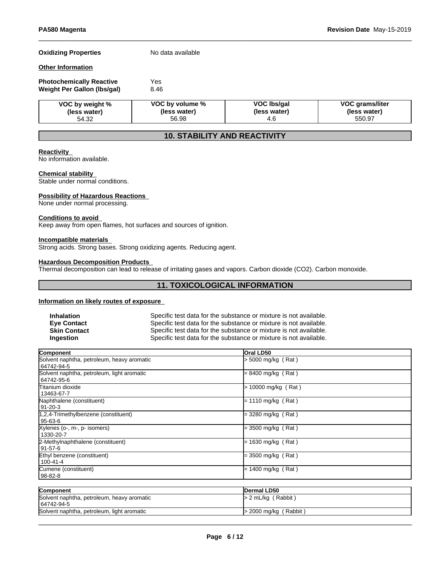#### **Oxidizing Properties** No data available

### **Other Information**

| <b>Photochemically Reactive</b> | Yes  |  |
|---------------------------------|------|--|
| Weight Per Gallon (Ibs/gal)     | 8.46 |  |

| VOC by weight % | VOC by volume % | VOC Ibs/gal  | <b>VOC grams/liter</b> |
|-----------------|-----------------|--------------|------------------------|
| (less water)    | (less water)    | (less water) | (less water)           |
| 54.32           | 56.98           |              | 550.97                 |

# **10. STABILITY AND REACTIVITY**

#### **Reactivity**

No information available.

#### **Chemical stability**

Stable under normal conditions.

#### **Possibility of Hazardous Reactions**

None under normal processing.

#### **Conditions to avoid**

Keep away from open flames, hot surfaces and sources of ignition.

#### **Incompatible materials**

Strong acids. Strong bases. Strong oxidizing agents. Reducing agent.

# **Hazardous Decomposition Products**

Thermal decomposition can lead to release of irritating gases and vapors. Carbon dioxide (CO2). Carbon monoxide.

# **11. TOXICOLOGICAL INFORMATION**

#### **Information on likely routes of exposure**

| <b>Inhalation</b>   | Specific test data for the substance or mixture is not available. |
|---------------------|-------------------------------------------------------------------|
| <b>Eve Contact</b>  | Specific test data for the substance or mixture is not available. |
| <b>Skin Contact</b> | Specific test data for the substance or mixture is not available. |
| <b>Ingestion</b>    | Specific test data for the substance or mixture is not available. |

| Component                                                | <b>Oral LD50</b>       |  |
|----------------------------------------------------------|------------------------|--|
| Solvent naphtha, petroleum, heavy aromatic<br>64742-94-5 | l> 5000 mg/kg (Rat)    |  |
| Solvent naphtha, petroleum, light aromatic<br>64742-95-6 | = 8400 mg/kg (Rat)     |  |
| <b>Titanium dioxide</b><br>13463-67-7                    | 10000 mg/kg (Rat)<br>⊳ |  |
| Naphthalene (constituent)<br>91-20-3                     | l= 1110 mg/kg (Rat)    |  |
| 1,2,4-Trimethylbenzene (constituent)<br>95-63-6          | = 3280 mg/kg (Rat)     |  |
| Xylenes (o-, m-, p- isomers)<br>1330-20-7                | = 3500 mg/kg (Rat)     |  |
| 2-Methylnaphthalene (constituent)<br>  91-57-6           | $=$ 1630 mg/kg (Rat)   |  |
| Ethyl benzene (constituent)<br>100-41-4                  | $=$ 3500 mg/kg (Rat)   |  |
| Cumene (constituent)<br>98-82-8                          | = 1400 mg/kg (Rat)     |  |

| Component                                                | <b>IDermal LD50</b>     |
|----------------------------------------------------------|-------------------------|
| Solvent naphtha, petroleum, heavy aromatic<br>64742-94-5 | $> 2$ mL/kg (Rabbit)    |
| Solvent naphtha, petroleum, light aromatic               | $>$ 2000 mg/kg (Rabbit) |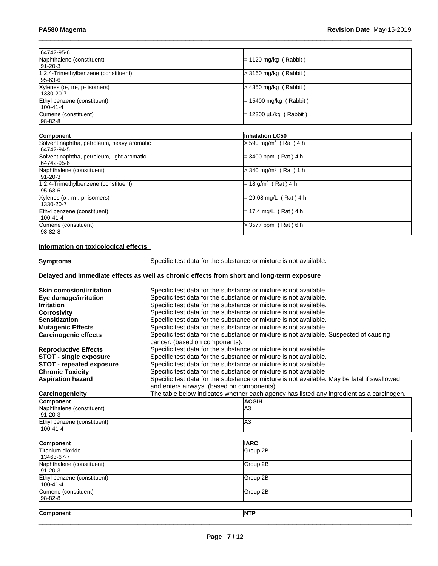| 64742-95-6                                 |                                     |  |
|--------------------------------------------|-------------------------------------|--|
| Naphthalene (constituent)                  | $= 1120$ mg/kg (Rabbit)             |  |
| 91-20-3                                    |                                     |  |
| 1,2,4-Trimethylbenzene (constituent)       | $>$ 3160 mg/kg (Rabbit)             |  |
| 95-63-6                                    |                                     |  |
| Xylenes (o-, m-, p- isomers)               | $>$ 4350 mg/kg (Rabbit)             |  |
| 1330-20-7                                  |                                     |  |
| Ethyl benzene (constituent)                | $= 15400$ mg/kg (Rabbit)            |  |
| $100 - 41 - 4$                             |                                     |  |
| Cumene (constituent)                       | = 12300 µL/kg ( Rabbit )            |  |
| 98-82-8                                    |                                     |  |
|                                            |                                     |  |
| Component                                  | <b>Inhalation LC50</b>              |  |
| Solvent naphtha, petroleum, heavy aromatic | $> 590$ mg/m <sup>3</sup> (Rat) 4 h |  |
| 64742-94-5                                 |                                     |  |
| Solvent naphtha, petroleum, light aromatic | $=$ 3400 ppm (Rat) 4 h              |  |
| 64742-95-6                                 |                                     |  |
| Naphthalene (constituent)                  | $>$ 340 mg/m <sup>3</sup> (Rat) 1 h |  |
| $ 91-20-3 $                                |                                     |  |
| 1,2,4-Trimethylbenzene (constituent)       | $= 18$ g/m <sup>3</sup> (Rat) 4 h   |  |
| 95-63-6                                    |                                     |  |
| Xylenes (o-, m-, p- isomers)               | = 29.08 mg/L (Rat) 4 h              |  |
| 1330-20-7                                  |                                     |  |
| Ethyl benzene (constituent)                | = 17.4 mg/L (Rat)4 h                |  |
| 100-41-4                                   |                                     |  |
| Cumene (constituent)                       | > 3577 ppm (Rat) 6 h                |  |
| 98-82-8                                    |                                     |  |
|                                            |                                     |  |

# **Information on toxicological effects**

**Symptoms** Specific test data for the substance or mixture is not available.

# **Delayed and immediate effects as well as chronic effects from short and long-term exposure**

| <b>Skin corrosion/irritation</b> | Specific test data for the substance or mixture is not available.                                                        |
|----------------------------------|--------------------------------------------------------------------------------------------------------------------------|
| Eye damage/irritation            | Specific test data for the substance or mixture is not available.                                                        |
| <b>Irritation</b>                | Specific test data for the substance or mixture is not available.                                                        |
| <b>Corrosivity</b>               | Specific test data for the substance or mixture is not available.                                                        |
| <b>Sensitization</b>             | Specific test data for the substance or mixture is not available.                                                        |
| <b>Mutagenic Effects</b>         | Specific test data for the substance or mixture is not available.                                                        |
| <b>Carcinogenic effects</b>      | Specific test data for the substance or mixture is not available. Suspected of causing<br>cancer. (based on components). |
| <b>Reproductive Effects</b>      | Specific test data for the substance or mixture is not available.                                                        |
| <b>STOT - single exposure</b>    | Specific test data for the substance or mixture is not available.                                                        |
| <b>STOT</b> - repeated exposure  | Specific test data for the substance or mixture is not available.                                                        |
| <b>Chronic Toxicity</b>          | Specific test data for the substance or mixture is not available                                                         |
| <b>Aspiration hazard</b>         | Specific test data for the substance or mixture is not available. May be fatal if swallowed                              |
|                                  | and enters airways. (based on components).                                                                               |
| Carcinogenicity                  | The table below indicates whether each agency has listed any ingredient as a carcinogen.                                 |
| Component                        | <b>ACGIH</b>                                                                                                             |

| Component                   | <b>ACGIH</b> |
|-----------------------------|--------------|
| Naphthalene (constituent)   | IАЗ          |
| $191 - 20 - 3$              |              |
| Ethyl benzene (constituent) | IАЗ          |
| $1100 - 41 - 4$             |              |

| Component                               | <b>IIARC</b> |
|-----------------------------------------|--------------|
| Titanium dioxide<br>13463-67-7          | Group 2B     |
| Naphthalene (constituent)<br> 91-20-3   | Group 2B     |
| Ethyl benzene (constituent)<br>100-41-4 | Group 2B     |
| Cumene (constituent)<br>  98-82-8       | Group 2B     |
| Component                               | <b>NTP</b>   |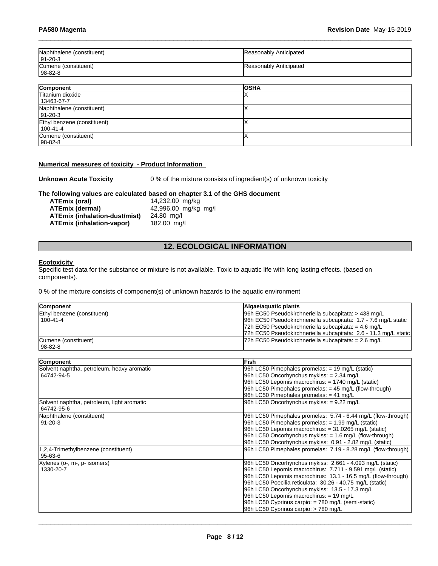| Naphthalene (constituent)<br>  91-20-3 | Reasonably Anticipated |
|----------------------------------------|------------------------|
| Cumene (constituent)<br>  98-82-8      | Reasonably Anticipated |

| Component                   | <b>OSHA</b> |
|-----------------------------|-------------|
| Titanium dioxide            |             |
| 13463-67-7                  |             |
| Naphthalene (constituent)   |             |
| $ 91-20-3 $                 |             |
| Ethyl benzene (constituent) |             |
| $100 - 41 - 4$              |             |
| Cumene (constituent)        |             |
| $ 98-82-8 $                 |             |

#### **Numerical measures of toxicity - Product Information**

**Unknown Acute Toxicity** 0 % of the mixture consists of ingredient(s) of unknown toxicity

# **The following values are calculated based on chapter 3.1 of the GHS document**

**ATEmix (oral)** 14,232.00 mg/kg<br>**ATEmix (dermal)** 42,996.00 mg/kg **ATEmix (dermal)**42,996.00 mg/kg mg/l **ATEmix (inhalation-dust/mist)** 24.80 mg/l **ATEmix (inhalation-vapor)** 

# **12. ECOLOGICAL INFORMATION**

#### **Ecotoxicity**

Specific test data for the substance or mixture is not available. Toxic to aquatic life with long lasting effects. (based on components).

0 % of the mixture consists of component(s) of unknown hazards to the aquatic environment

| <b>Component</b>            | Algae/aguatic plants                                             |
|-----------------------------|------------------------------------------------------------------|
| Ethyl benzene (constituent) | 96h EC50 Pseudokirchneriella subcapitata: > 438 mg/L             |
| $1100 - 41 - 4$             | 96h EC50 Pseudokirchneriella subcapitata: 1.7 - 7.6 mg/L static  |
|                             | 72h EC50 Pseudokirchneriella subcapitata: = $4.6 \text{ mg/L}$   |
|                             | 72h EC50 Pseudokirchneriella subcapitata: 2.6 - 11.3 mg/L static |
| Cumene (constituent)        | $72h$ EC50 Pseudokirchneriella subcapitata: = 2.6 mg/L           |
| 98-82-8                     |                                                                  |

| Component                                  | <b>IFish</b>                                                  |
|--------------------------------------------|---------------------------------------------------------------|
| Solvent naphtha, petroleum, heavy aromatic | 96h LC50 Pimephales promelas: = 19 mg/L (static)              |
| 64742-94-5                                 | 96h LC50 Oncorhynchus mykiss: = 2.34 mg/L                     |
|                                            | $96h$ LC50 Lepomis macrochirus: = 1740 mg/L (static)          |
|                                            | 96h LC50 Pimephales promelas: $=$ 45 mg/L (flow-through)      |
|                                            | 96h LC50 Pimephales promelas: $= 41$ mg/L                     |
| Solvent naphtha, petroleum, light aromatic | 96h LC50 Oncorhynchus mykiss: = 9.22 mg/L                     |
| 64742-95-6                                 |                                                               |
| Naphthalene (constituent)                  | 96h LC50 Pimephales promelas: 5.74 - 6.44 mg/L (flow-through) |
| 91-20-3                                    | 96h LC50 Pimephales promelas: $= 1.99$ mg/L (static)          |
|                                            | 96h LC50 Lepomis macrochirus: = 31.0265 mg/L (static)         |
|                                            | $ 96h$ LC50 Oncorhynchus mykiss: $= 1.6$ mg/L (flow-through)  |
|                                            | 96h LC50 Oncorhynchus mykiss: 0.91 - 2.82 mg/L (static)       |
| 1,2,4-Trimethylbenzene (constituent)       | 96h LC50 Pimephales promelas: 7.19 - 8.28 mg/L (flow-through) |
| 95-63-6                                    |                                                               |
| Xylenes (o-, m-, p- isomers)               | 96h LC50 Oncorhynchus mykiss: 2.661 - 4.093 mg/L (static)     |
| 1330-20-7                                  | 96h LC50 Lepomis macrochirus: 7.711 - 9.591 mg/L (static)     |
|                                            | 96h LC50 Lepomis macrochirus: 13.1 - 16.5 mg/L (flow-through) |
|                                            | 96h LC50 Poecilia reticulata: 30.26 - 40.75 mg/L (static)     |
|                                            | 96h LC50 Oncorhynchus mykiss: 13.5 - 17.3 mg/L                |
|                                            | 96h LC50 Lepomis macrochirus: = 19 mg/L                       |
|                                            | 96h LC50 Cyprinus carpio: = 780 mg/L (semi-static)            |
|                                            | 96h LC50 Cyprinus carpio: > 780 mg/L                          |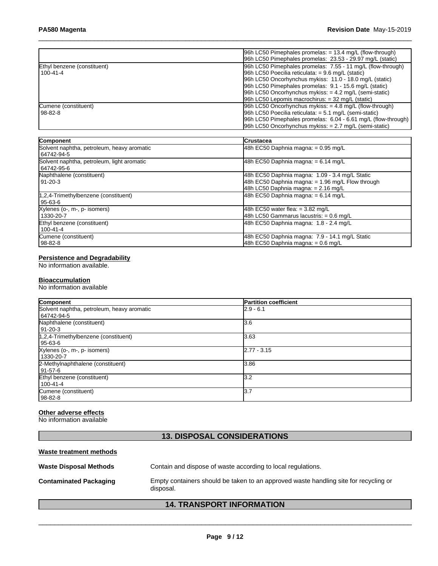|                             | $ 96h$ LC50 Pimephales promelas: $= 13.4$ mg/L (flow-through)  |
|-----------------------------|----------------------------------------------------------------|
|                             | 96h LC50 Pimephales promelas: 23.53 - 29.97 mg/L (static)      |
| Ethyl benzene (constituent) | 96h LC50 Pimephales promelas: 7.55 - 11 mg/L (flow-through)    |
| 100-41-4                    | $ 96h$ LC50 Poecilia reticulata: = 9.6 mg/L (static)           |
|                             | 96h LC50 Oncorhynchus mykiss: 11.0 - 18.0 mg/L (static)        |
|                             | 96h LC50 Pimephales promelas: 9.1 - 15.6 mg/L (static)         |
|                             | $96h$ LC50 Oncorhynchus mykiss: $= 4.2$ mg/L (semi-static)     |
|                             | 96h LC50 Lepomis macrochirus: $=$ 32 mg/L (static)             |
| Cumene (constituent)        | 96h LC50 Oncorhynchus mykiss: $= 4.8$ mg/L (flow-through)      |
| l 98-82-8                   | 96h LC50 Poecilia reticulata: $= 5.1$ mg/L (semi-static)       |
|                             | [96h LC50 Pimephales promelas: 6.04 - 6.61 mg/L (flow-through) |
|                             | $96h$ LC50 Oncorhynchus mykiss: $= 2.7$ mg/L (semi-static)     |

| Component                                                | <b>ICrustacea</b>                                                                                                                           |
|----------------------------------------------------------|---------------------------------------------------------------------------------------------------------------------------------------------|
| Solvent naphtha, petroleum, heavy aromatic<br>64742-94-5 | 48h EC50 Daphnia magna: $= 0.95$ mg/L                                                                                                       |
| Solvent naphtha, petroleum, light aromatic<br>64742-95-6 | 48h EC50 Daphnia magna: $= 6.14$ mg/L                                                                                                       |
| Naphthalene (constituent)<br>  91-20-3                   | 48h EC50 Daphnia magna: 1.09 - 3.4 mg/L Static<br>48h EC50 Daphnia magna: $= 1.96$ mg/L Flow through<br>48h LC50 Daphnia magna: = 2.16 mg/L |
| 1,2,4-Trimethylbenzene (constituent)<br>95-63-6          | 48h EC50 Daphnia magna: $= 6.14$ mg/L                                                                                                       |
| Xylenes (o-, m-, p- isomers)<br>1330-20-7                | 48h EC50 water flea: $= 3.82$ mg/L<br>48h LC50 Gammarus lacustris: = 0.6 mg/L                                                               |
| Ethyl benzene (constituent)<br>100-41-4                  | 48h EC50 Daphnia magna: 1.8 - 2.4 mg/L                                                                                                      |
| Cumene (constituent)<br>  98-82-8                        | 48h EC50 Daphnia magna: 7.9 - 14.1 mg/L Static<br>48h EC50 Daphnia magna: = 0.6 mg/L                                                        |

#### **Persistence and Degradability**

No information available.

#### **Bioaccumulation**

No information available

| Component                                  | <b>Partition coefficient</b> |
|--------------------------------------------|------------------------------|
| Solvent naphtha, petroleum, heavy aromatic | $2.9 - 6.1$                  |
| 64742-94-5                                 |                              |
| Naphthalene (constituent)                  | 3.6                          |
| 91-20-3                                    |                              |
| $1,2,4$ -Trimethylbenzene (constituent)    | 3.63                         |
| 95-63-6                                    |                              |
| Xylenes (o-, m-, p- isomers)               | $2.77 - 3.15$                |
| 1330-20-7                                  |                              |
| 2-Methylnaphthalene (constituent)          | 3.86                         |
| 91-57-6                                    |                              |
| Ethyl benzene (constituent)                | l3.2                         |
| 100-41-4                                   |                              |
| Cumene (constituent)                       | 13.7                         |
| 98-82-8                                    |                              |

# **Other adverse effects**

No information available

# **13. DISPOSAL CONSIDERATIONS**

## **Waste treatment methods**

| <b>Waste Disposal Methods</b> | Contain and dispose of waste according to local regulations.                                      |
|-------------------------------|---------------------------------------------------------------------------------------------------|
| <b>Contaminated Packaging</b> | Empty containers should be taken to an approved waste handling site for recycling or<br>disposal. |

# **14. TRANSPORT INFORMATION**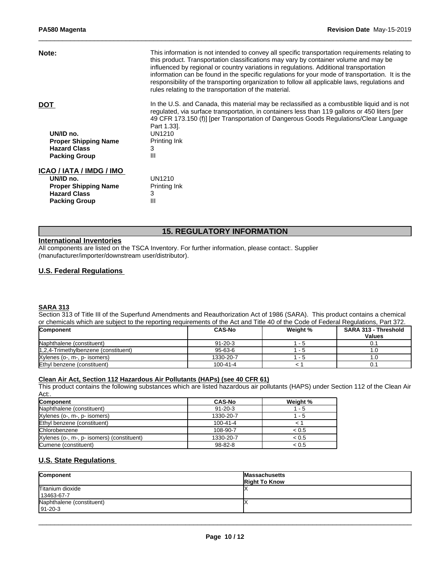| Note:                                                                                                               | This information is not intended to convey all specific transportation requirements relating to<br>this product. Transportation classifications may vary by container volume and may be<br>influenced by regional or country variations in regulations. Additional transportation<br>information can be found in the specific regulations for your mode of transportation. It is the<br>responsibility of the transporting organization to follow all applicable laws, regulations and<br>rules relating to the transportation of the material. |
|---------------------------------------------------------------------------------------------------------------------|-------------------------------------------------------------------------------------------------------------------------------------------------------------------------------------------------------------------------------------------------------------------------------------------------------------------------------------------------------------------------------------------------------------------------------------------------------------------------------------------------------------------------------------------------|
| <b>DOT</b><br>UN/ID no.<br><b>Proper Shipping Name</b><br><b>Hazard Class</b><br><b>Packing Group</b>               | In the U.S. and Canada, this material may be reclassified as a combustible liquid and is not<br>regulated, via surface transportation, in containers less than 119 gallons or 450 liters [per<br>49 CFR 173.150 (f)] [per Transportation of Dangerous Goods Regulations/Clear Language<br>Part 1.33.<br>UN1210<br>Printing Ink<br>3<br>Ш                                                                                                                                                                                                        |
| ICAO / IATA / IMDG / IMO<br>UN/ID no.<br><b>Proper Shipping Name</b><br><b>Hazard Class</b><br><b>Packing Group</b> | UN1210<br>Printing Ink<br>3<br>Ш                                                                                                                                                                                                                                                                                                                                                                                                                                                                                                                |

# **15. REGULATORY INFORMATION**

#### **International Inventories**

All components are listed on the TSCA Inventory. For further information, please contact:. Supplier (manufacturer/importer/downstream user/distributor).

# **U.S. Federal Regulations**

#### **SARA 313**

Section 313 of Title III of the Superfund Amendments and Reauthorization Act of 1986 (SARA). This product contains a chemical or chemicals which are subject to the reporting requirements of the Act and Title 40 of the Code of Federal Regulations, Part 372.

| <b>Component</b>                     | <b>CAS-No</b> | Weight % | <b>SARA 313 - Threshold</b><br><b>Values</b> |
|--------------------------------------|---------------|----------|----------------------------------------------|
|                                      |               |          |                                              |
| Naphthalene (constituent)            | $91 - 20 - 3$ | - ാ      | 0.1                                          |
| 1,2,4-Trimethylbenzene (constituent) | $95 - 63 - 6$ | . .      |                                              |
| Xylenes (o-, m-, p- isomers)         | 1330-20-7     | - 2      |                                              |
| Ethyl benzene (constituent)          | 100-41-4      |          | 0.1                                          |

#### **Clean Air Act,Section 112 Hazardous Air Pollutants (HAPs) (see 40 CFR 61)**

This product contains the following substances which are listed hazardous air pollutants (HAPS) under Section 112 of the Clean Air Act:.

| <b>Component</b>                           | <b>CAS-No</b>  | Weight % |
|--------------------------------------------|----------------|----------|
| Naphthalene (constituent)                  | $91 - 20 - 3$  | $-5$     |
| Xylenes (o-, m-, p- isomers)               | 1330-20-7      | - 5      |
| Ethyl benzene (constituent)                | $100 - 41 - 4$ |          |
| Chlorobenzene                              | 108-90-7       | < 0.5    |
| Xylenes (o-, m-, p- isomers) (constituent) | 1330-20-7      | < 0.5    |
| Cumene (constituent)                       | 98-82-8        | < 0.5    |

# **U.S. State Regulations**

| Component                                   | <b>Massachusetts</b><br><b>Right To Know</b> |
|---------------------------------------------|----------------------------------------------|
| Titanium dioxide<br>13463-67-7              |                                              |
| Naphthalene (constituent)<br>$191 - 20 - 3$ |                                              |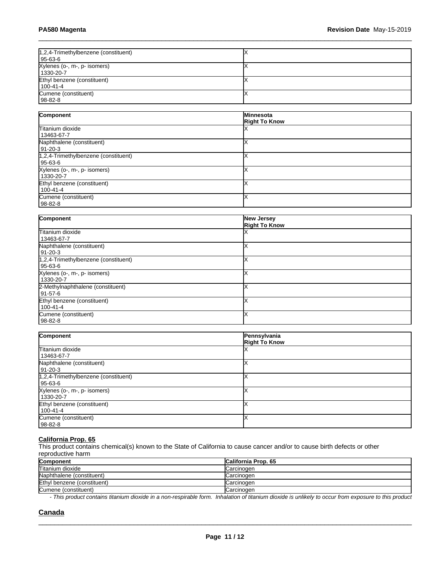| 1,2,4-Trimethylbenzene (constituent)<br>  95-63-6 |  |
|---------------------------------------------------|--|
| Xylenes (o-, m-, p- isomers)<br>1330-20-7         |  |
| Ethyl benzene (constituent)<br>  100-41-4         |  |
| Cumene (constituent)<br>  98-82-8                 |  |

| Component                            | <b>Minnesota</b>     |
|--------------------------------------|----------------------|
|                                      | <b>Right To Know</b> |
| Titanium dioxide                     |                      |
| 13463-67-7                           |                      |
| Naphthalene (constituent)            |                      |
| 91-20-3                              |                      |
| 1,2,4-Trimethylbenzene (constituent) |                      |
| 95-63-6                              |                      |
| Xylenes (o-, m-, p- isomers)         |                      |
| 1330-20-7                            |                      |
| Ethyl benzene (constituent)          |                      |
| 100-41-4                             |                      |
| Cumene (constituent)                 |                      |
| $98-82-8$                            |                      |

| Component                            | New Jersey<br><b>Right To Know</b> |
|--------------------------------------|------------------------------------|
| Titanium dioxide                     |                                    |
| 13463-67-7                           |                                    |
| Naphthalene (constituent)            |                                    |
| 91-20-3                              |                                    |
| 1,2,4-Trimethylbenzene (constituent) |                                    |
| 95-63-6                              |                                    |
| Xylenes (o-, m-, p- isomers)         |                                    |
| 1330-20-7                            |                                    |
| 2-Methylnaphthalene (constituent)    |                                    |
| 91-57-6                              |                                    |
| Ethyl benzene (constituent)          |                                    |
| 100-41-4                             |                                    |
| Cumene (constituent)                 |                                    |
| 98-82-8                              |                                    |

| Component                                         | Pennsylvania<br><b>Right To Know</b> |
|---------------------------------------------------|--------------------------------------|
| Titanium dioxide<br>13463-67-7                    |                                      |
| Naphthalene (constituent)<br>91-20-3              |                                      |
| 1,2,4-Trimethylbenzene (constituent)<br>  95-63-6 |                                      |
| Xylenes (o-, m-, p- isomers)<br>1330-20-7         |                                      |
| Ethyl benzene (constituent)<br>100-41-4           |                                      |
| Cumene (constituent)<br>  98-82-8                 |                                      |

#### **California Prop. 65**

This product contains chemical(s) known to the State of California to cause cancer and/or to cause birth defects or other reproductive harm

| Component                   | <b>California Prop. 65</b> |
|-----------------------------|----------------------------|
| Titanium dioxide            | Carcinogen                 |
| Naphthalene (constituent)   | Carcinogen                 |
| Ethyl benzene (constituent) | <b>Carcinogen</b>          |
| Cumene (constituent)        | Carcinogen                 |

*- This product contains titanium dioxide in a non-respirable form. Inhalation of titanium dioxide is unlikely to occur from exposure to this product*

 $\_$  ,  $\_$  ,  $\_$  ,  $\_$  ,  $\_$  ,  $\_$  ,  $\_$  ,  $\_$  ,  $\_$  ,  $\_$  ,  $\_$  ,  $\_$  ,  $\_$  ,  $\_$  ,  $\_$  ,  $\_$  ,  $\_$  ,  $\_$  ,  $\_$  ,  $\_$  ,  $\_$  ,  $\_$  ,  $\_$  ,  $\_$  ,  $\_$  ,  $\_$  ,  $\_$  ,  $\_$  ,  $\_$  ,  $\_$  ,  $\_$  ,  $\_$  ,  $\_$  ,  $\_$  ,  $\_$  ,  $\_$  ,  $\_$  ,

### **Canada**